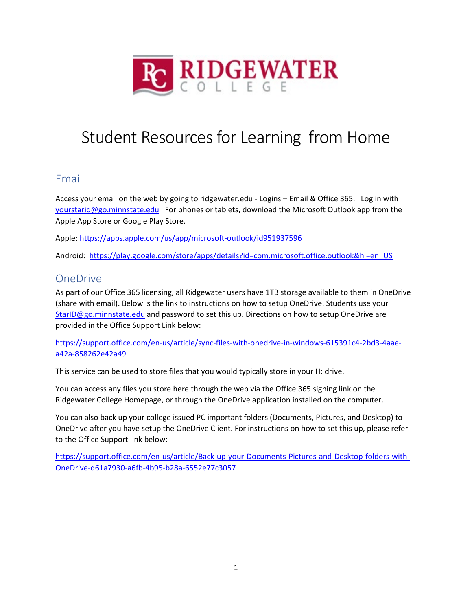

# Student Resources for Learning from Home

# Email

Access your email on the web by going to ridgewater.edu - Logins – Email & Office 365. Log in with [yourstarid@go.minnstate.edu](mailto:yourstarid@go.minnstate.edu) For phones or tablets, download the Microsoft Outlook app from the Apple App Store or Google Play Store.

Apple:<https://apps.apple.com/us/app/microsoft-outlook/id951937596>

Android: [https://play.google.com/store/apps/details?id=com.microsoft.office.outlook&hl=en\\_US](https://play.google.com/store/apps/details?id=com.microsoft.office.outlook&hl=en_US)

## **OneDrive**

As part of our Office 365 licensing, all Ridgewater users have 1TB storage available to them in OneDrive (share with email). Below is the link to instructions on how to setup OneDrive. Students use your [StarID@go.minnstate.edu](mailto:StarID@go.minnstate.edu) and password to set this up. Directions on how to setup OneDrive are provided in the Office Support Link below:

[https://support.office.com/en-us/article/sync-files-with-onedrive-in-windows-615391c4-2bd3-4aae](https://support.office.com/en-us/article/sync-files-with-onedrive-in-windows-615391c4-2bd3-4aae-a42a-858262e42a49)[a42a-858262e42a49](https://support.office.com/en-us/article/sync-files-with-onedrive-in-windows-615391c4-2bd3-4aae-a42a-858262e42a49)

This service can be used to store files that you would typically store in your H: drive.

You can access any files you store here through the web via the Office 365 signing link on the Ridgewater College Homepage, or through the OneDrive application installed on the computer.

You can also back up your college issued PC important folders (Documents, Pictures, and Desktop) to OneDrive after you have setup the OneDrive Client. For instructions on how to set this up, please refer to the Office Support link below:

[https://support.office.com/en-us/article/Back-up-your-Documents-Pictures-and-Desktop-folders-with-](https://support.office.com/en-us/article/Back-up-your-Documents-Pictures-and-Desktop-folders-with-OneDrive-d61a7930-a6fb-4b95-b28a-6552e77c3057)[OneDrive-d61a7930-a6fb-4b95-b28a-6552e77c3057](https://support.office.com/en-us/article/Back-up-your-Documents-Pictures-and-Desktop-folders-with-OneDrive-d61a7930-a6fb-4b95-b28a-6552e77c3057)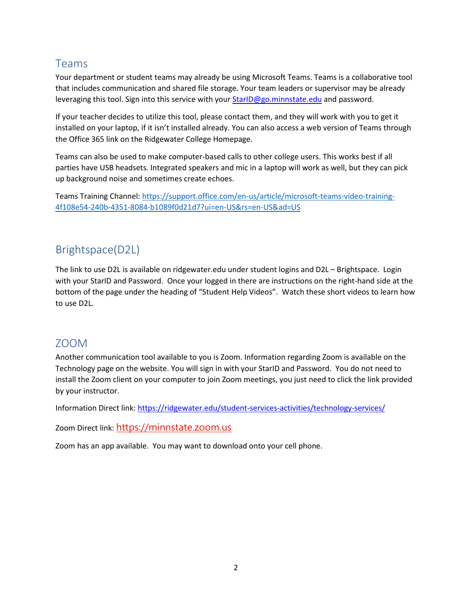### Teams

Your department or student teams may already be using Microsoft Teams. Teams is a collaborative tool that includes communication and shared file storage. Your team leaders or supervisor may be already leveraging this tool. Sign into this service with you[r StarID@go.minnstate.edu](mailto:StarID@go.minnstate.edu) and password.

If your teacher decides to utilize this tool, please contact them, and they will work with you to get it installed on your laptop, if it isn't installed already. You can also access a web version of Teams through the Office 365 link on the Ridgewater College Homepage.

Teams can also be used to make computer-based calls to other college users. This works best if all parties have USB headsets. Integrated speakers and mic in a laptop will work as well, but they can pick up background noise and sometimes create echoes.

Teams Training Channel: [https://support.office.com/en-us/article/microsoft-teams-video-training-](https://support.office.com/en-us/article/microsoft-teams-video-training-4f108e54-240b-4351-8084-b1089f0d21d7?ui=en-US&rs=en-US&ad=US)[4f108e54-240b-4351-8084-b1089f0d21d7?ui=en-US&rs=en-US&ad=US](https://support.office.com/en-us/article/microsoft-teams-video-training-4f108e54-240b-4351-8084-b1089f0d21d7?ui=en-US&rs=en-US&ad=US)

# Brightspace(D2L)

The link to use D2L is available on ridgewater.edu under student logins and D2L – Brightspace. Login with your StarID and Password. Once your logged in there are instructions on the right-hand side at the bottom of the page under the heading of "Student Help Videos". Watch these short videos to learn how to use D2L.

#### ZOOM

Another communication tool available to you is Zoom. Information regarding Zoom is available on the Technology page on the website. You will sign in with your StarID and Password. You do not need to install the Zoom client on your computer to join Zoom meetings, you just need to click the link provided by your instructor.

Information Direct link: <https://ridgewater.edu/student-services-activities/technology-services/>

Zoom Direct link: [https://minnstate.zoom.us](https://nam02.safelinks.protection.outlook.com/?url=https://minnstate.zoom.us&data=02%7c01%7cstacie.laughlin%40ridgewater.edu%7cb2dc19bd6a6346062ea608d732e1db96%7c5011c7c60ab446ab9ef4fae74a921a7f%7c0%7c0%7c637033817940029347&sdata=oYWcCR8%2BmfLU3WN2CTgjcZrYYgjiBOwI/Ayo49lxvH0%3D&reserved=0)

Zoom has an app available. You may want to download onto your cell phone.